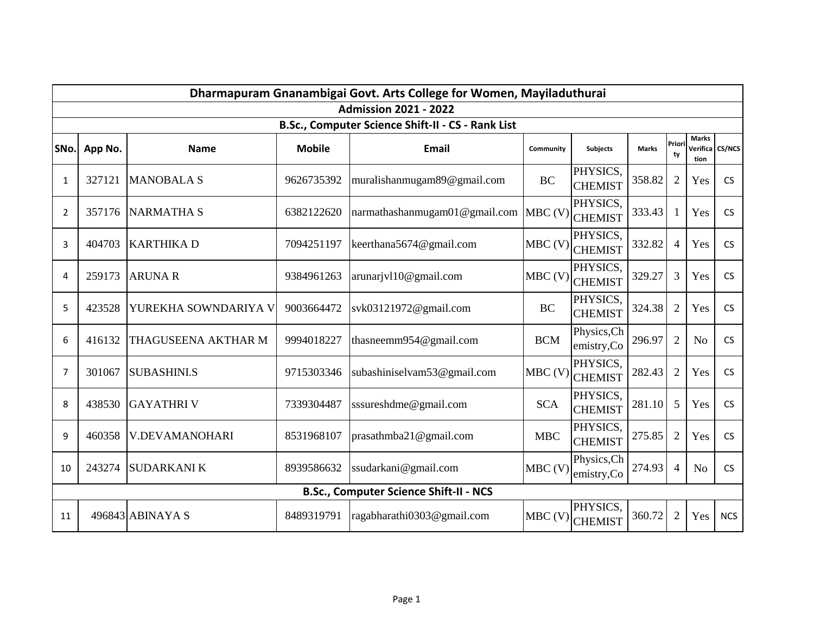| Dharmapuram Gnanambigai Govt. Arts College for Women, Mayiladuthurai<br><b>Admission 2021 - 2022</b><br>B.Sc., Computer Science Shift-II - CS - Rank List |        |                       |            |                               |            |                            |        |                |                |            |  |      |         |                   |               |                             |           |                            |              |             |                      |                 |
|-----------------------------------------------------------------------------------------------------------------------------------------------------------|--------|-----------------------|------------|-------------------------------|------------|----------------------------|--------|----------------|----------------|------------|--|------|---------|-------------------|---------------|-----------------------------|-----------|----------------------------|--------------|-------------|----------------------|-----------------|
|                                                                                                                                                           |        |                       |            |                               |            |                            |        |                |                |            |  | SNo. | App No. | <b>Name</b>       | <b>Mobile</b> | <b>Email</b>                | Community | <b>Subjects</b>            | <b>Marks</b> | Prior<br>ty | <b>Marks</b><br>tion | Verifica CS/NCS |
|                                                                                                                                                           |        |                       |            |                               |            |                            |        |                |                |            |  | 1    | 327121  | <b>MANOBALA S</b> | 9626735392    | muralishanmugam89@gmail.com | <b>BC</b> | PHYSICS.<br><b>CHEMIST</b> | 358.82       | 2           | Yes                  | <b>CS</b>       |
| $\overline{2}$                                                                                                                                            | 357176 | <b>NARMATHA S</b>     | 6382122620 | narmathashanmugam01@gmail.com | $MBC$ (V)  | PHYSICS,<br><b>CHEMIST</b> | 333.43 |                | Yes            | <b>CS</b>  |  |      |         |                   |               |                             |           |                            |              |             |                      |                 |
| 3                                                                                                                                                         | 404703 | <b>KARTHIKAD</b>      | 7094251197 | keerthana5674@gmail.com       | MBC (V)    | PHYSICS,<br><b>CHEMIST</b> | 332.82 | $\overline{4}$ | Yes            | <b>CS</b>  |  |      |         |                   |               |                             |           |                            |              |             |                      |                 |
| 4                                                                                                                                                         | 259173 | <b>ARUNA R</b>        | 9384961263 | arunarjvl10@gmail.com         | MBC(V)     | PHYSICS,<br><b>CHEMIST</b> | 329.27 | $\overline{3}$ | Yes            | <b>CS</b>  |  |      |         |                   |               |                             |           |                            |              |             |                      |                 |
| 5                                                                                                                                                         | 423528 | YUREKHA SOWNDARIYA V  | 9003664472 | svk03121972@gmail.com         | <b>BC</b>  | PHYSICS,<br><b>CHEMIST</b> | 324.38 | $\overline{2}$ | Yes            | <b>CS</b>  |  |      |         |                   |               |                             |           |                            |              |             |                      |                 |
| 6                                                                                                                                                         | 416132 | THAGUSEENA AKTHAR M   | 9994018227 | thasneemm954@gmail.com        | <b>BCM</b> | Physics, Ch<br>emistry,Co  | 296.97 | $\overline{2}$ | No             | <b>CS</b>  |  |      |         |                   |               |                             |           |                            |              |             |                      |                 |
| 7                                                                                                                                                         | 301067 | <b>SUBASHINLS</b>     | 9715303346 | subashiniselvam53@gmail.com   | $MBC$ (V)  | PHYSICS,<br><b>CHEMIST</b> | 282.43 | $\overline{2}$ | Yes            | <b>CS</b>  |  |      |         |                   |               |                             |           |                            |              |             |                      |                 |
| 8                                                                                                                                                         | 438530 | <b>GAYATHRIV</b>      | 7339304487 | sssureshdme@gmail.com         | <b>SCA</b> | PHYSICS,<br><b>CHEMIST</b> | 281.10 | 5              | Yes            | <b>CS</b>  |  |      |         |                   |               |                             |           |                            |              |             |                      |                 |
| 9                                                                                                                                                         | 460358 | <b>V.DEVAMANOHARI</b> | 8531968107 | prasathmba21@gmail.com        | <b>MBC</b> | PHYSICS,<br><b>CHEMIST</b> | 275.85 | $\overline{2}$ | Yes            | <b>CS</b>  |  |      |         |                   |               |                             |           |                            |              |             |                      |                 |
| 10                                                                                                                                                        | 243274 | <b>SUDARKANIK</b>     | 8939586632 | ssudarkani@gmail.com          | MBC(V)     | Physics, Ch<br>emistry,Co  | 274.93 | $\overline{4}$ | N <sub>o</sub> | <b>CS</b>  |  |      |         |                   |               |                             |           |                            |              |             |                      |                 |
| <b>B.Sc., Computer Science Shift-II - NCS</b>                                                                                                             |        |                       |            |                               |            |                            |        |                |                |            |  |      |         |                   |               |                             |           |                            |              |             |                      |                 |
| 11                                                                                                                                                        |        | 496843 ABINAYA S      | 8489319791 | ragabharathi0303@gmail.com    | $MBC$ (V)  | PHYSICS,<br><b>CHEMIST</b> | 360.72 | $\overline{2}$ | Yes            | <b>NCS</b> |  |      |         |                   |               |                             |           |                            |              |             |                      |                 |